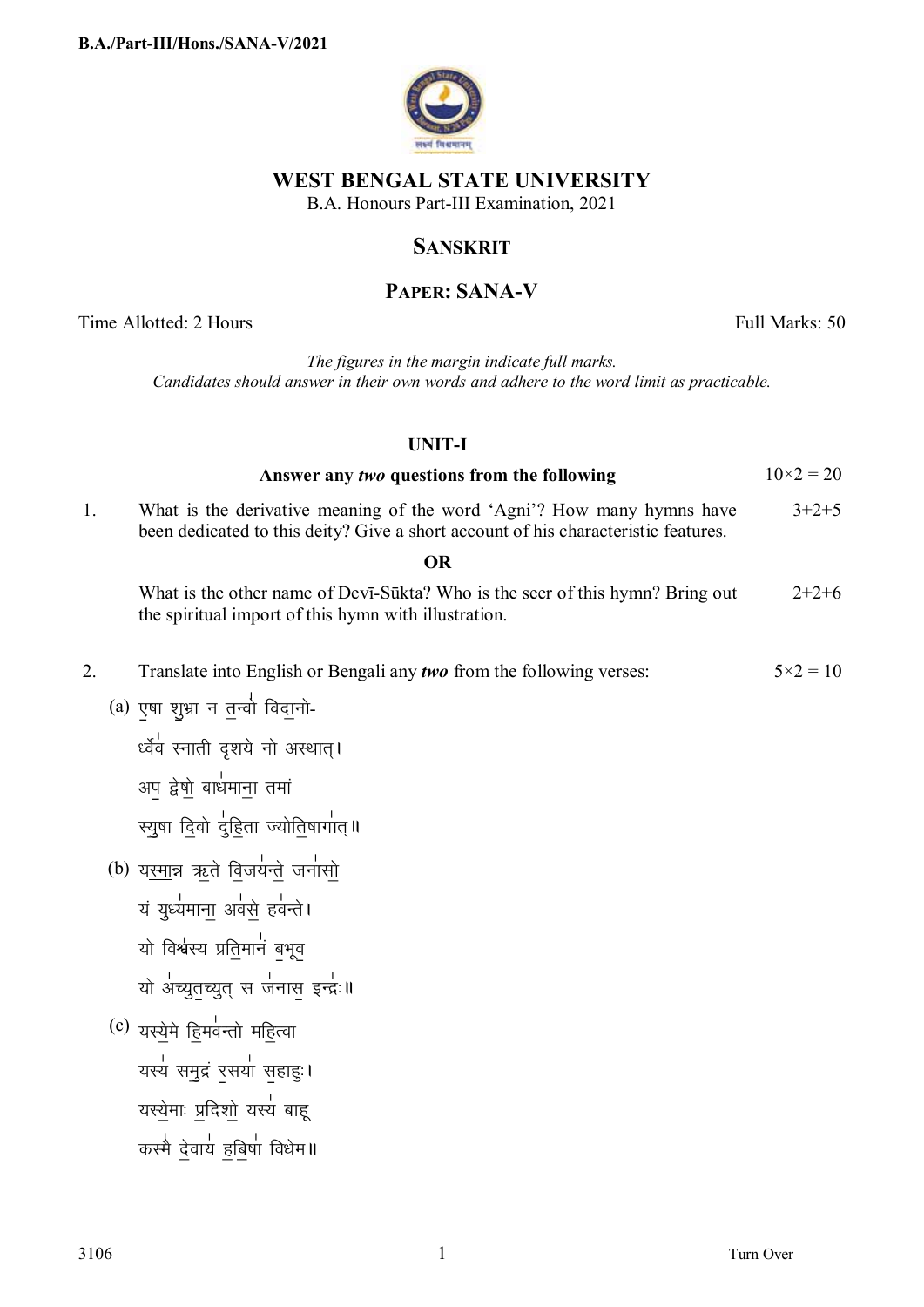

## **WEST BENGAL STATE UNIVERSITY**

B.A. Honours Part-III Examination, 2021

# **SANSKRIT**

## **PAPER: SANA-V**

Time Allotted: 2 Hours Full Marks: 50

*The figures in the margin indicate full marks. Candidates should answer in their own words and adhere to the word limit as practicable.*

## **UNIT-I**

| Answer any two questions from the following | $10\times2=20$ |
|---------------------------------------------|----------------|
|---------------------------------------------|----------------|

1. What is the derivative meaning of the word 'Agni'? How many hymns have been dedicated to this deity? Give a short account of his characteristic features.  $3+2+5$ 

#### **OR**

 What is the other name of Devī-Sūkta? Who is the seer of this hymn? Bring out the spiritual import of this hymn with illustration.  $2+2+6$ 

- 2. Translate into English or Bengali any *two* from the following verses:  $5 \times 2 = 10$ 
	- (a) एषा शुभ्रा न तन्वी विदानो-

|<br>| ध्वेव स्नाती दृशये नो अस्थात्**।** 

अ<u>प</u> द्वे<u>षो</u> बाधमा<u>न</u>ा तमां j

स्युषा <u>द</u>िवो दु<u>हि</u>ता ज्योतिषागात्॥ j

- (b) य<u>स्म</u>ान्न ऋते <u>व</u>िजयन्<u>ते</u> जनासो यं युध्यमाना॒ अव<u>से</u> हवन्ते**।** j यो विश्वस्य प्र<u>ति</u>मानं बुभूव यो अच्युत॒च्युत् स जनास॒ इन्द्रः॥ ֦֧֦֦֧֦֧֦֦֪֖֚֚֡֡֬֝֬֝֬<br>֧֚֚֚֝  $\ddot{\phantom{a}}$
- $^{\rm (c)}$  यस्<u>ये</u>मे हिमवन्तो महित्वा यस्य समुद्र रसया सहाहु । यस्<u>ये</u>माः <u>प्र</u>दिशो यस्य बाहू करमै <u>दे</u>वाय <u>हबि</u>षा विधेम॥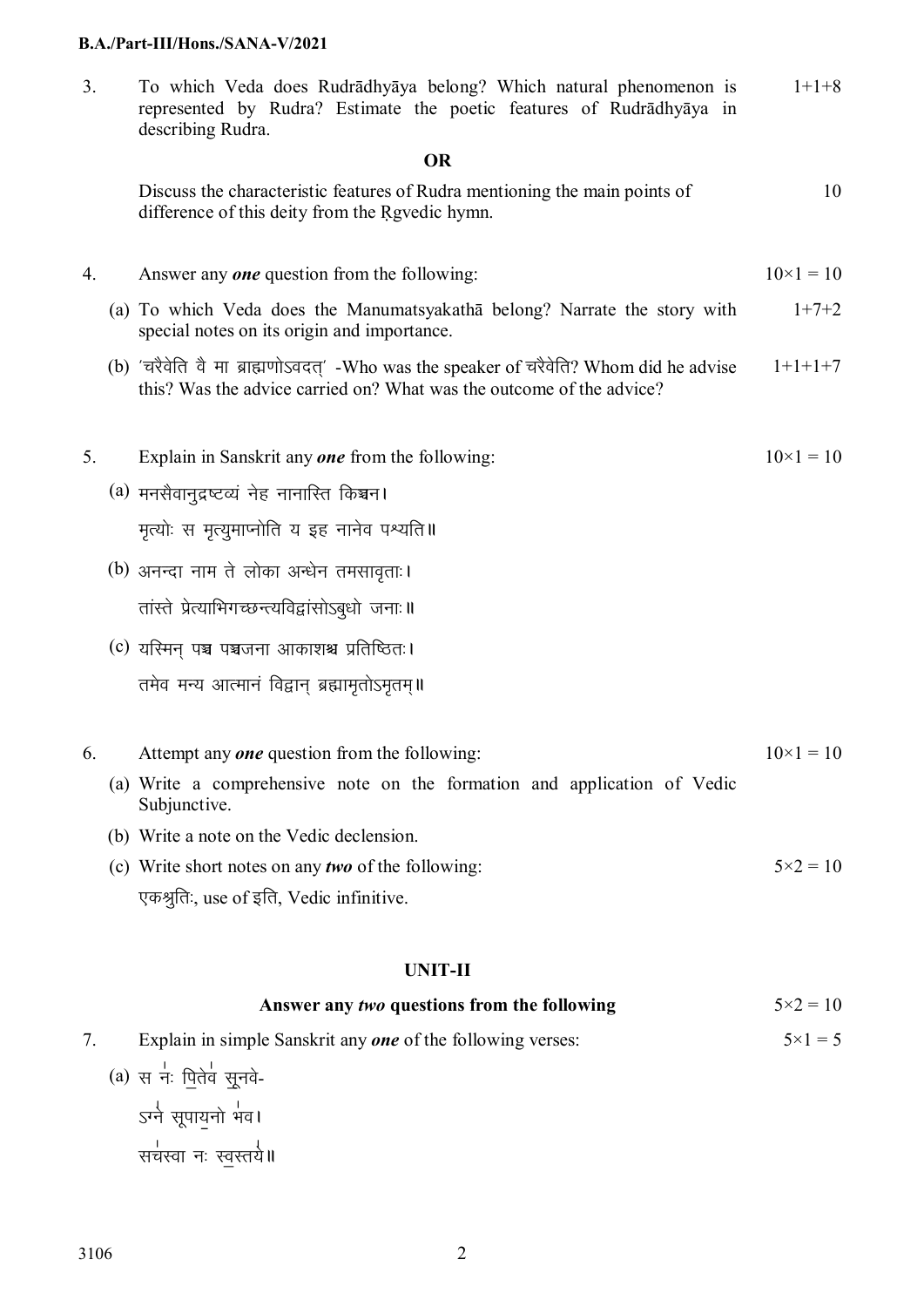#### **B.A./Part-III/Hons./SANA-V/2021**

| 3.        |  | To which Veda does Rudrādhyāya belong? Which natural phenomenon is<br>represented by Rudra? Estimate the poetic features of Rudrādhyāya in<br>describing Rudra. | $1+1+8$           |  |  |
|-----------|--|-----------------------------------------------------------------------------------------------------------------------------------------------------------------|-------------------|--|--|
| <b>OR</b> |  |                                                                                                                                                                 |                   |  |  |
|           |  | Discuss the characteristic features of Rudra mentioning the main points of<br>difference of this deity from the Rgvedic hymn.                                   | 10                |  |  |
| 4.        |  | Answer any <b>one</b> question from the following:                                                                                                              | $10\times1=10$    |  |  |
|           |  | (a) To which Veda does the Manumatsyakatha belong? Narrate the story with<br>special notes on its origin and importance.                                        | $1+7+2$           |  |  |
|           |  | (b) 'चरैवेति वै मा ब्राह्मणोऽवदत्' -Who was the speaker of चरैवेति? Whom did he advise<br>this? Was the advice carried on? What was the outcome of the advice?  | $1+1+1+7$         |  |  |
| 5.        |  | Explain in Sanskrit any one from the following:                                                                                                                 | $10\times1=10$    |  |  |
|           |  | (a) मनसैवानुद्रष्टव्यं नेह नानारित किञ्चन।                                                                                                                      |                   |  |  |
|           |  | मृत्योः स मृत्युमाप्नोति य इह नानेव पश्यति॥                                                                                                                     |                   |  |  |
|           |  | (b) अनन्दा नाम ते लोका अन्धेन तमसावृताः।                                                                                                                        |                   |  |  |
|           |  | तांस्ते प्रेत्याभिगच्छन्त्यविद्वांसोऽबुधो जनाः ॥                                                                                                                |                   |  |  |
|           |  | (c) यरिमन् पञ्च पञ्चजना आकाशश्च प्रतिष्ठितः।                                                                                                                    |                   |  |  |
|           |  | तमेव मन्य आत्मानं विद्वान् ब्रह्मामृतोऽमृतम्॥                                                                                                                   |                   |  |  |
| 6.        |  | Attempt any <b>one</b> question from the following:                                                                                                             | $10\times1=10$    |  |  |
|           |  | (a) Write a comprehensive note on the formation and application of Vedic<br>Subjunctive.                                                                        |                   |  |  |
|           |  | (b) Write a note on the Vedic declension.                                                                                                                       |                   |  |  |
|           |  | (c) Write short notes on any <i>two</i> of the following:                                                                                                       | $5 \times 2 = 10$ |  |  |
|           |  | एकश्रुति:, use of इति, Vedic infinitive.                                                                                                                        |                   |  |  |
|           |  | <b>UNIT-II</b>                                                                                                                                                  |                   |  |  |

| Answer any two questions from the following                 | $5 \times 2 = 10$ |
|-------------------------------------------------------------|-------------------|
| Explain in simple Sanskrit any one of the following verses: | $5 \times 1 = 5$  |
| (a) स $\frac{1}{7}$ : पितेव सूनवे-                          |                   |
| ऽग्ने सूपायनो भंव।                                          |                   |
| सचस्वा नः स्वस्तये॥                                         |                   |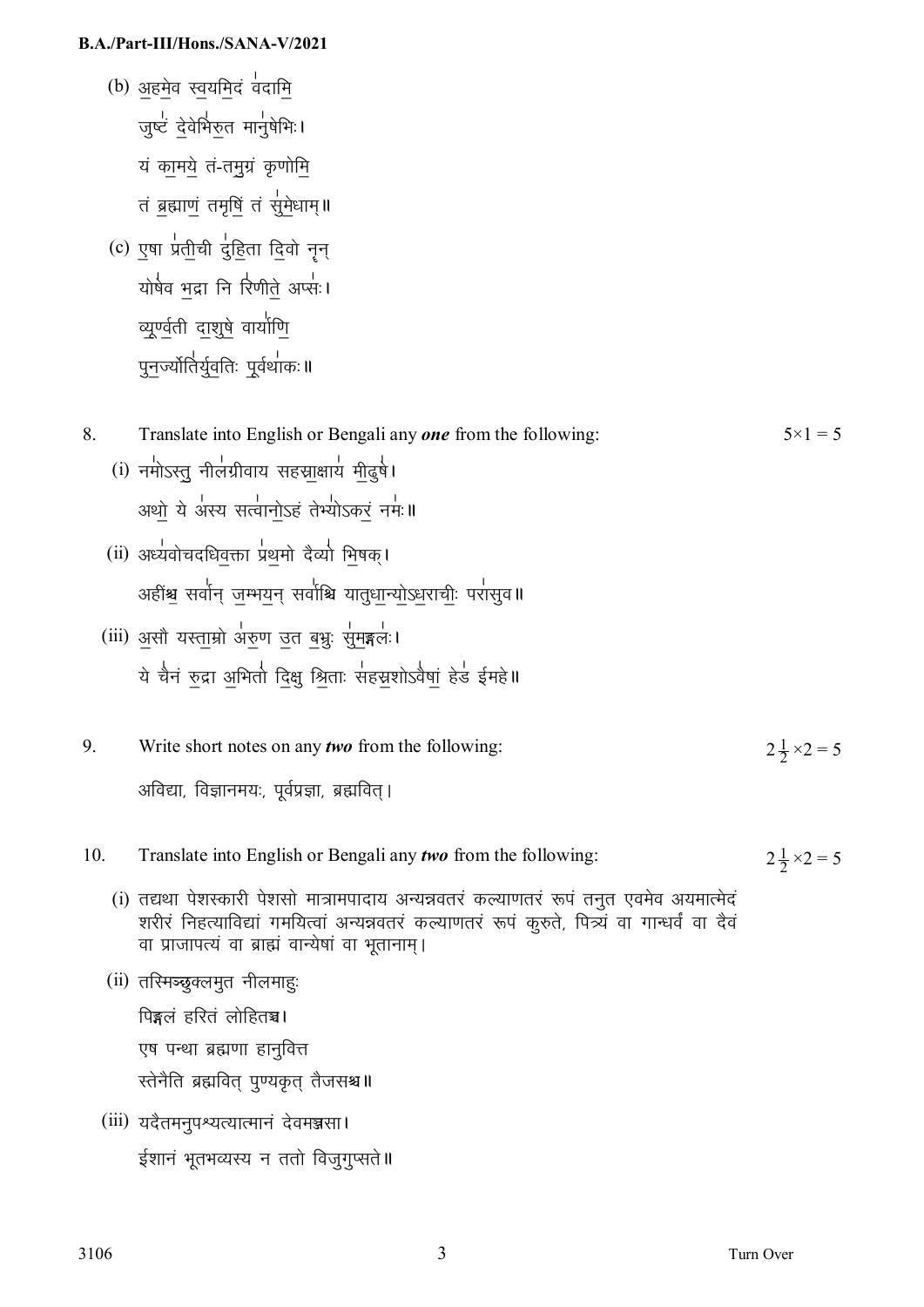### B.A./Part-III/Hons./SANA-V/2021

- (b) अहमेव स्वयमिदं वदामि ्त्यः<br>जुष्टं देवेभिरुत मानुषेभिः । यं कामये तं-तमुग्रं कृणोमि तं ब्रह्माणं तमृषिं तं सुमेधाम्॥
- (c) एषा प्रतीची दुहिता दिवो नृन् योषेव भद्रा नि रिणीते अप्सः। व्यूर्ण्वती दाशुषे वार्याणि पनर्ज्योतिर्यवतिः पर्वथाकः॥
- Translate into English or Bengali any one from the following: 8  $5 \times 1 = 5$ (i) नमोऽस्त् नीलग्रीवाय सहस्राक्षाय मीढ्षे। अथो ये अस्य सत्वानोऽहं तेभ्योऽकरं नमः॥ (ii) अध्यवोचदधिवक्ता प्रथमो दैव्यो भिषक। अहींश्च सर्वान् जम्भयन् सर्वाश्चि यातुधान्योऽधराचीः परासुव॥ (iii) असौ यस्ताम्रो अरुण उत बभ्रः सुमङ्गलः। ये चैनं रुद्रा अभितो दिक्षु श्रिताः सहस्रशोऽवैषां हेर्ड ईमहे॥ 9 Write short notes on any **two** from the following:  $2\frac{1}{2} \times 2 = 5$ अविद्या, विज्ञानमयः, पर्वप्रज्ञा, ब्रह्मवित् । Translate into English or Bengali any two from the following:  $10<sup>1</sup>$  $2\frac{1}{2} \times 2 = 5$ (i) तद्यथा पेशस्कारी पेशसो मात्रामपादाय अन्यन्नवतरं कल्याणतरं रूपं तन्**त एवमेव अयमात्मेद** शरीरं निहत्याविद्यां गमयित्वां अन्यन्नवतरं कल्याणतरं रूपं कूरुते, पित्र्यं वा गान्धर्वं वा दैवं वा प्राजापत्यं वा ब्राह्मं वान्येषां वा भुतानाम।
	- (ii) तस्मिञ्छुक्लमुत नीलमाहुः पिङ्गलं हरितं लोहितञ्च। एष पन्था ब्रह्मणा हानुवित्त रतेनैति ब्रह्मवित् पुण्यकृत् तैजसश्च॥
	- (iii) यदैतमनुपश्यत्यात्मानं देवमञ्जसा। ईशानं भूतभव्यस्य न ततो विजुगुप्सते ॥